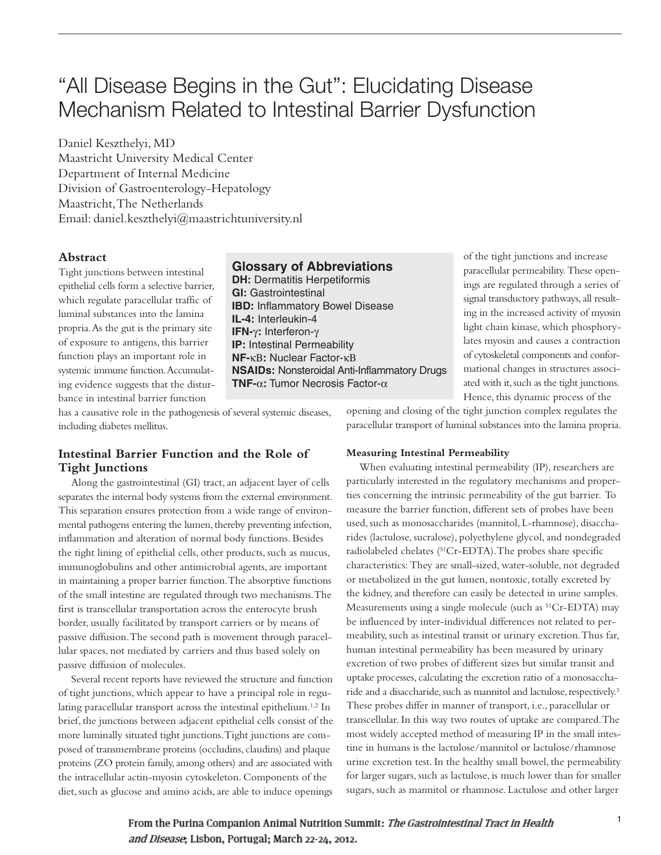# "All Disease Begins in the Gut": Elucidating Disease Mechanism Related to Intestinal Barrier Dysfunction

Daniel Keszthelyi, MD Maastricht University Medical Center Department of Internal Medicine Division of Gastroenterology-Hepatology Maastricht,The Netherlands Email: daniel.keszthelyi@maastrichtuniversity.nl

#### **Abstract**

Tight junctions between intestinal epithelial cells form a selective barrier, which regulate paracellular traffic of luminal substances into the lamina propria.As the gut is the primary site of exposure to antigens, this barrier function plays an important role in systemic immune function.Accumulating evidence suggests that the disturbance in intestinal barrier function

## **Glossary of Abbreviations**

**DH: Dermatitis Herpetiformis GI:** Gastrointestinal **IBD:** Inflammatory Bowel Disease **IL-4:** Interleukin-4 **IFN-**γ**:** Interferon-γ **IP:** Intestinal Permeability **NF-**κΒ**:** Nuclear Factor-κΒ **NSAIDs:** Nonsteroidal Anti-Inflammatory Drugs **TNF-**α**:** Tumor Necrosis Factor-α

of the tight junctions and increase paracellular permeability. These openings are regulated through a series of signal transductory pathways, all resulting in the increased activity of myosin light chain kinase, which phosphorylates myosin and causes a contraction of cytoskeletal components and conformational changes in structures associated with it, such as the tight junctions. Hence, this dynamic process of the

has a causative role in the pathogenesis of several systemic diseases, including diabetes mellitus.

## **Intestinal Barrier Function and the Role of Tight Junctions**

Along the gastrointestinal (GI) tract, an adjacent layer of cells separates the internal body systems from the external environment. This separation ensures protection from a wide range of environmental pathogens entering the lumen, thereby preventing infection, inflammation and alteration of normal body functions. Besides the tight lining of epithelial cells, other products, such as mucus, immunoglobulins and other antimicrobial agents, are important in maintaining a proper barrier function.The absorptive functions of the small intestine are regulated through two mechanisms.The first is transcellular transportation across the enterocyte brush border, usually facilitated by transport carriers or by means of passive diffusion.The second path is movement through paracellular spaces, not mediated by carriers and thus based solely on passive diffusion of molecules.

Several recent reports have reviewed the structure and function of tight junctions, which appear to have a principal role in regulating paracellular transport across the intestinal epithelium.<sup>1,2</sup> In brief, the junctions between adjacent epithelial cells consist of the more luminally situated tight junctions.Tight junctions are composed of transmembrane proteins (occludins, claudins) and plaque proteins (ZO protein family,among others) and are associated with the intracellular actin-myosin cytoskeleton. Components of the diet, such as glucose and amino acids, are able to induce openings

opening and closing of the tight junction complex regulates the paracellular transport of luminal substances into the lamina propria.

#### **Measuring Intestinal Permeability**

When evaluating intestinal permeability (IP), researchers are particularly interested in the regulatory mechanisms and properties concerning the intrinsic permeability of the gut barrier. To measure the barrier function, different sets of probes have been used, such as monosaccharides (mannitol, L-rhamnose), disaccharides (lactulose, sucralose), polyethylene glycol,and nondegraded radiolabeled chelates (51Cr-EDTA).The probes share specific characteristics: They are small-sized, water-soluble, not degraded or metabolized in the gut lumen, nontoxic, totally excreted by the kidney, and therefore can easily be detected in urine samples. Measurements using a single molecule (such as <sup>51</sup>Cr-EDTA) may be influenced by inter-individual differences not related to permeability, such as intestinal transit or urinary excretion.Thus far, human intestinal permeability has been measured by urinary excretion of two probes of different sizes but similar transit and uptake processes, calculating the excretion ratio of a monosaccharide and a disaccharide, such as mannitol and lactulose, respectively.<sup>3</sup> These probes differ in manner of transport, i.e., paracellular or transcellular. In this way two routes of uptake are compared.The most widely accepted method of measuring IP in the small intestine in humans is the lactulose/mannitol or lactulose/rhamnose urine excretion test. In the healthy small bowel, the permeability for larger sugars, such as lactulose, is much lower than for smaller sugars, such as mannitol or rhamnose. Lactulose and other larger

From the Purina Companion Animal Nutrition Summit: The Gastrointestinal Tract in Health and Disease, Lisbon, Portugal; March 22-24, 2012.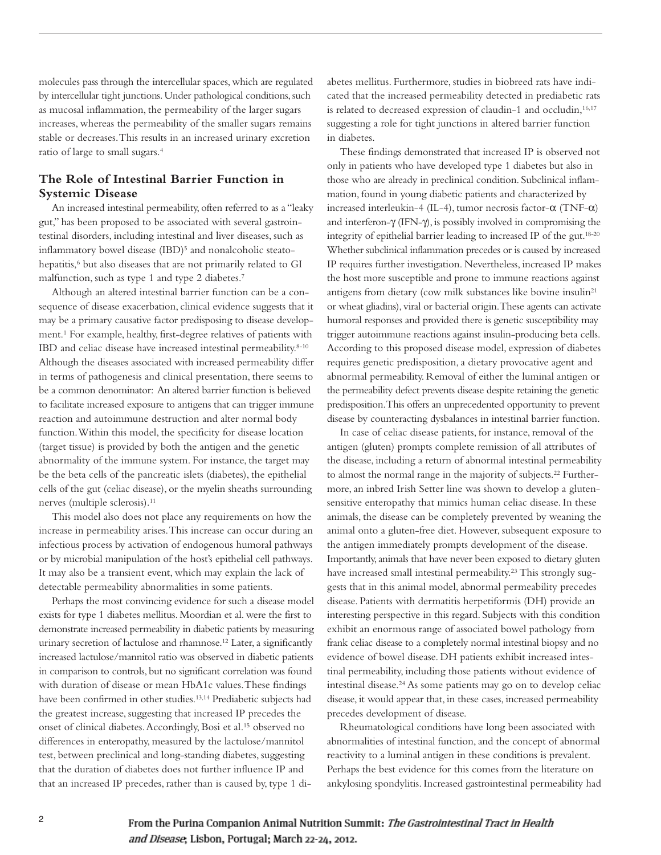molecules pass through the intercellular spaces, which are regulated by intercellular tight junctions. Under pathological conditions, such as mucosal inflammation, the permeability of the larger sugars increases, whereas the permeability of the smaller sugars remains stable or decreases.This results in an increased urinary excretion ratio of large to small sugars. 4

## **The Role of Intestinal Barrier Function in Systemic Disease**

An increased intestinal permeability, often referred to as a "leaky gut," has been proposed to be associated with several gastrointestinal disorders, including intestinal and liver diseases, such as inflammatory bowel disease (IBD)<sup>5</sup> and nonalcoholic steatohepatitis, <sup>6</sup> but also diseases that are not primarily related to GI malfunction, such as type 1 and type 2 diabetes. 7

Although an altered intestinal barrier function can be a consequence of disease exacerbation, clinical evidence suggests that it may be a primary causative factor predisposing to disease development. <sup>1</sup> For example, healthy, first-degree relatives of patients with IBD and celiac disease have increased intestinal permeability.<sup>8-10</sup> Although the diseases associated with increased permeability differ in terms of pathogenesis and clinical presentation, there seems to be a common denominator: An altered barrier function is believed to facilitate increased exposure to antigens that can trigger immune reaction and autoimmune destruction and alter normal body function.Within this model, the specificity for disease location (target tissue) is provided by both the antigen and the genetic abnormality of the immune system. For instance, the target may be the beta cells of the pancreatic islets (diabetes), the epithelial cells of the gut (celiac disease), or the myelin sheaths surrounding nerves (multiple sclerosis). 11

This model also does not place any requirements on how the increase in permeability arises.This increase can occur during an infectious process by activation of endogenous humoral pathways or by microbial manipulation of the host's epithelial cell pathways. It may also be a transient event, which may explain the lack of detectable permeability abnormalities in some patients.

Perhaps the most convincing evidence for such a disease model exists for type 1 diabetes mellitus. Moordian et al. were the first to demonstrate increased permeability in diabetic patients by measuring urinary secretion of lactulose and rhamnose.<sup>12</sup> Later, a significantly increased lactulose/mannitol ratio was observed in diabetic patients in comparison to controls, but no significant correlation was found with duration of disease or mean HbA1c values.These findings have been confirmed in other studies. 13,14 Prediabetic subjects had the greatest increase, suggesting that increased IP precedes the onset of clinical diabetes.Accordingly, Bosi et al. <sup>15</sup> observed no differences in enteropathy, measured by the lactulose/mannitol test, between preclinical and long-standing diabetes, suggesting that the duration of diabetes does not further influence IP and that an increased IP precedes, rather than is caused by, type 1 diabetes mellitus. Furthermore, studies in biobreed rats have indicated that the increased permeability detected in prediabetic rats is related to decreased expression of claudin-1 and occludin, 16,17 suggesting a role for tight junctions in altered barrier function in diabetes.

These findings demonstrated that increased IP is observed not only in patients who have developed type 1 diabetes but also in those who are already in preclinical condition. Subclinical inflammation, found in young diabetic patients and characterized by increased interleukin-4 (IL-4), tumor necrosis factor-α (TNF-α) and interferon-γ (IFN-γ), is possibly involved in compromising the integrity of epithelial barrier leading to increased IP of the gut. 18-20 Whether subclinical inflammation precedes or is caused by increased IP requires further investigation. Nevertheless, increased IP makes the host more susceptible and prone to immune reactions against antigens from dietary (cow milk substances like bovine insulin<sup>21</sup> or wheat gliadins), viral or bacterial origin.These agents can activate humoral responses and provided there is genetic susceptibility may trigger autoimmune reactions against insulin-producing beta cells. According to this proposed disease model, expression of diabetes requires genetic predisposition, a dietary provocative agent and abnormal permeability. Removal of either the luminal antigen or the permeability defect prevents disease despite retaining the genetic predisposition.This offers an unprecedented opportunity to prevent disease by counteracting dysbalances in intestinal barrier function.

In case of celiac disease patients, for instance, removal of the antigen (gluten) prompts complete remission of all attributes of the disease, including a return of abnormal intestinal permeability to almost the normal range in the majority of subjects. <sup>22</sup> Furthermore,an inbred Irish Setter line was shown to develop a glutensensitive enteropathy that mimics human celiac disease. In these animals, the disease can be completely prevented by weaning the animal onto a gluten-free diet. However, subsequent exposure to the antigen immediately prompts development of the disease. Importantly,animals that have never been exposed to dietary gluten have increased small intestinal permeability. <sup>23</sup> This strongly suggests that in this animal model, abnormal permeability precedes disease. Patients with dermatitis herpetiformis (DH) provide an interesting perspective in this regard. Subjects with this condition exhibit an enormous range of associated bowel pathology from frank celiac disease to a completely normal intestinal biopsy and no evidence of bowel disease. DH patients exhibit increased intestinal permeability, including those patients without evidence of intestinal disease. <sup>24</sup> As some patients may go on to develop celiac disease, it would appear that, in these cases, increased permeability precedes development of disease.

Rheumatological conditions have long been associated with abnormalities of intestinal function, and the concept of abnormal reactivity to a luminal antigen in these conditions is prevalent. Perhaps the best evidence for this comes from the literature on ankylosing spondylitis.Increased gastrointestinal permeability had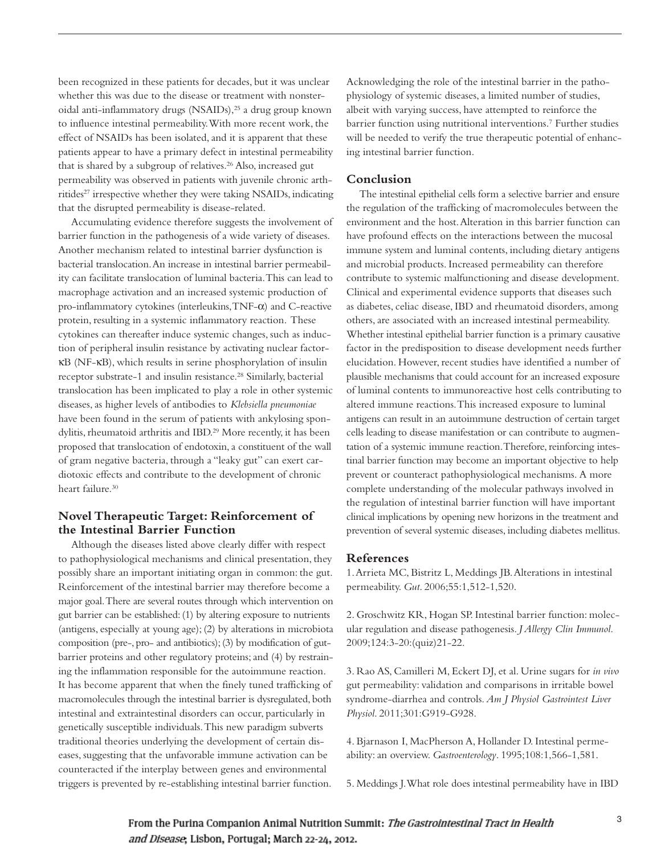been recognized in these patients for decades, but it was unclear whether this was due to the disease or treatment with nonsteroidal anti-inflammatory drugs (NSAIDs), <sup>25</sup> a drug group known to influence intestinal permeability.With more recent work, the effect of NSAIDs has been isolated,and it is apparent that these patients appear to have a primary defect in intestinal permeability that is shared by a subgroup of relatives. <sup>26</sup> Also, increased gut permeability was observed in patients with juvenile chronic arthritides<sup>27</sup> irrespective whether they were taking NSAIDs, indicating that the disrupted permeability is disease-related.

Accumulating evidence therefore suggests the involvement of barrier function in the pathogenesis of a wide variety of diseases. Another mechanism related to intestinal barrier dysfunction is bacterial translocation.An increase in intestinal barrier permeability can facilitate translocation of luminal bacteria.This can lead to macrophage activation and an increased systemic production of pro-inflammatory cytokines (interleukins,TNF-α) and C-reactive protein, resulting in a systemic inflammatory reaction. These cytokines can thereafter induce systemic changes, such as induction of peripheral insulin resistance by activating nuclear factorκB (NF-κB), which results in serine phosphorylation of insulin receptor substrate-1 and insulin resistance. <sup>28</sup> Similarly, bacterial translocation has been implicated to play a role in other systemic diseases,as higher levels of antibodies to *Klebsiella pneumoniae* have been found in the serum of patients with ankylosing spondylitis, rheumatoid arthritis and IBD.<sup>29</sup> More recently, it has been proposed that translocation of endotoxin, a constituent of the wall of gram negative bacteria, through a "leaky gut" can exert cardiotoxic effects and contribute to the development of chronic heart failure. 30

## **Novel Therapeutic Target: Reinforcement of the Intestinal Barrier Function**

Although the diseases listed above clearly differ with respect to pathophysiological mechanisms and clinical presentation, they possibly share an important initiating organ in common: the gut. Reinforcement of the intestinal barrier may therefore become a major goal.There are several routes through which intervention on gut barrier can be established:(1) by altering exposure to nutrients (antigens, especially at young age); (2) by alterations in microbiota composition (pre-, pro- and antibiotics);(3) by modification of gutbarrier proteins and other regulatory proteins;and (4) by restraining the inflammation responsible for the autoimmune reaction. It has become apparent that when the finely tuned trafficking of macromolecules through the intestinal barrier is dysregulated, both intestinal and extraintestinal disorders can occur, particularly in genetically susceptible individuals.This new paradigm subverts traditional theories underlying the development of certain diseases, suggesting that the unfavorable immune activation can be counteracted if the interplay between genes and environmental triggers is prevented by re-establishing intestinal barrier function.

Acknowledging the role of the intestinal barrier in the pathophysiology of systemic diseases,a limited number of studies, albeit with varying success, have attempted to reinforce the barrier function using nutritional interventions. <sup>7</sup> Further studies will be needed to verify the true therapeutic potential of enhancing intestinal barrier function.

#### **Conclusion**

The intestinal epithelial cells form a selective barrier and ensure the regulation of the trafficking of macromolecules between the environment and the host.Alteration in this barrier function can have profound effects on the interactions between the mucosal immune system and luminal contents, including dietary antigens and microbial products. Increased permeability can therefore contribute to systemic malfunctioning and disease development. Clinical and experimental evidence supports that diseases such as diabetes, celiac disease, IBD and rheumatoid disorders,among others,are associated with an increased intestinal permeability. Whether intestinal epithelial barrier function is a primary causative factor in the predisposition to disease development needs further elucidation. However, recent studies have identified a number of plausible mechanisms that could account for an increased exposure of luminal contents to immunoreactive host cells contributing to altered immune reactions.This increased exposure to luminal antigens can result in an autoimmune destruction of certain target cells leading to disease manifestation or can contribute to augmentation of a systemic immune reaction. Therefore, reinforcing intestinal barrier function may become an important objective to help prevent or counteract pathophysiological mechanisms. A more complete understanding of the molecular pathways involved in the regulation of intestinal barrier function will have important clinical implications by opening new horizons in the treatment and prevention of several systemic diseases, including diabetes mellitus.

#### **References**

1.Arrieta MC, Bistritz L, Meddings JB.Alterations in intestinal permeability. *Gut*. 2006;55:1,512-1,520.

2. Groschwitz KR, Hogan SP. Intestinal barrier function: molecular regulation and disease pathogenesis. *J Allergy Clin Immunol*. 2009;124:3-20:(quiz)21-22.

3. Rao AS, Camilleri M, Eckert DJ, et al. Urine sugars for *in vivo* gut permeability: validation and comparisons in irritable bowel syndrome-diarrhea and controls. *Am J Physiol Gastrointest Liver Physiol*. 2011;301:G919-G928.

4. Bjarnason I, MacPherson A, Hollander D. Intestinal permeability:an overview. *Gastroenterology*. 1995;108:1,566-1,581.

5. Meddings J.What role does intestinal permeability have in IBD